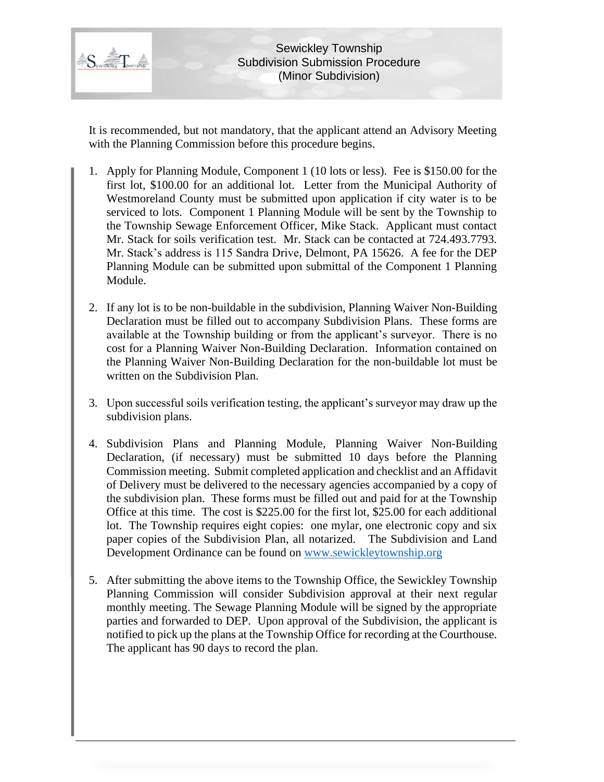

It is recommended, but not mandatory, that the applicant attend an Advisory Meeting with the Planning Commission before this procedure begins.

- 1. Apply for Planning Module, Component 1 (10 lots or less). Fee is \$150.00 for the first lot, \$100.00 for an additional lot. Letter from the Municipal Authority of Westmoreland County must be submitted upon application if city water is to be serviced to lots. Component 1 Planning Module will be sent by the Township to the Township Sewage Enforcement Officer, Mike Stack. Applicant must contact Mr. Stack for soils verification test. Mr. Stack can be contacted at 724.493.7793. Mr. Stack's address is 115 Sandra Drive, Delmont, PA 15626. A fee for the DEP Planning Module can be submitted upon submittal of the Component 1 Planning Module.
- 2. If any lot is to be non-buildable in the subdivision, Planning Waiver Non-Building Declaration must be filled out to accompany Subdivision Plans. These forms are available at the Township building or from the applicant's surveyor. There is no cost for a Planning Waiver Non-Building Declaration. Information contained on the Planning Waiver Non-Building Declaration for the non-buildable lot must be written on the Subdivision Plan.
- 3. Upon successful soils verification testing, the applicant's surveyor may draw up the subdivision plans.
- 4. Subdivision Plans and Planning Module, Planning Waiver Non-Building Declaration, (if necessary) must be submitted 10 days before the Planning Commission meeting. Submit completed application and checklist and an Affidavit of Delivery must be delivered to the necessary agencies accompanied by a copy of the subdivision plan. These forms must be filled out and paid for at the Township Office at this time. The cost is \$225.00 for the first lot, \$25.00 for each additional lot. The Township requires eight copies: one mylar, one electronic copy and six paper copies of the Subdivision Plan, all notarized. The Subdivision and Land Development Ordinance can be found on [www.sewickleytownship.org](http://www.sewickleytownship.org/)
- 5. After submitting the above items to the Township Office, the Sewickley Township Planning Commission will consider Subdivision approval at their next regular monthly meeting. The Sewage Planning Module will be signed by the appropriate parties and forwarded to DEP. Upon approval of the Subdivision, the applicant is notified to pick up the plans at the Township Office for recording at the Courthouse. The applicant has 90 days to record the plan.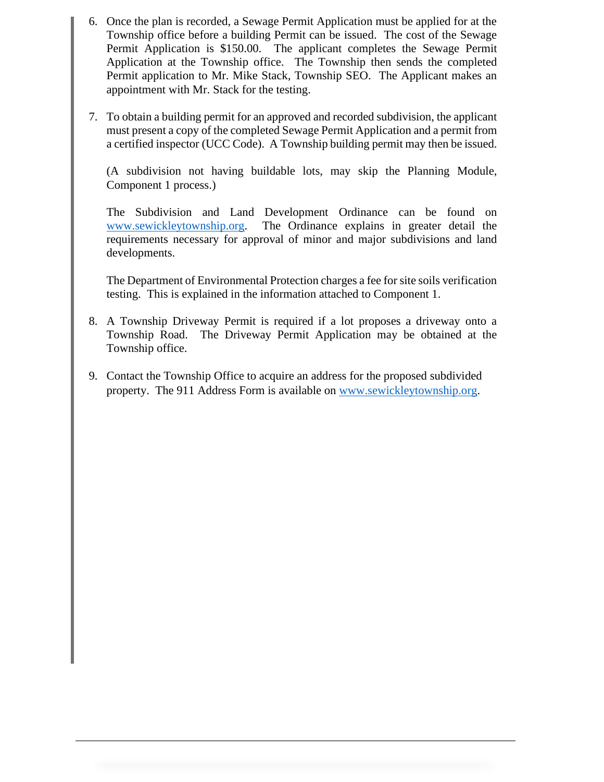- 6. Once the plan is recorded, a Sewage Permit Application must be applied for at the Township office before a building Permit can be issued. The cost of the Sewage Permit Application is \$150.00. The applicant completes the Sewage Permit Application at the Township office. The Township then sends the completed Permit application to Mr. Mike Stack, Township SEO. The Applicant makes an appointment with Mr. Stack for the testing.
- 7. To obtain a building permit for an approved and recorded subdivision, the applicant must present a copy of the completed Sewage Permit Application and a permit from a certified inspector (UCC Code). A Township building permit may then be issued.

(A subdivision not having buildable lots, may skip the Planning Module, Component 1 process.)

The Subdivision and Land Development Ordinance can be found on [www.sewickleytownship.org.](http://www.sewickleytownship.org/) The Ordinance explains in greater detail the requirements necessary for approval of minor and major subdivisions and land developments.

The Department of Environmental Protection charges a fee for site soils verification testing. This is explained in the information attached to Component 1.

- 8. A Township Driveway Permit is required if a lot proposes a driveway onto a Township Road. The Driveway Permit Application may be obtained at the Township office.
- 9. Contact the Township Office to acquire an address for the proposed subdivided property. The 911 Address Form is available on [www.sewickleytownship.org.](http://www.sewickleytownship.org/)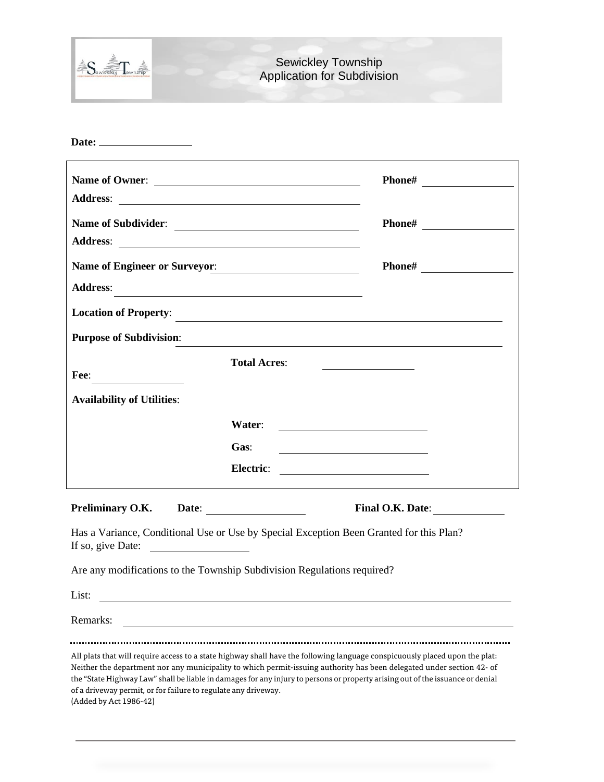| Sewiditing Township | <b>Sewickley Township</b><br><b>Application for Subdivision</b> |
|---------------------|-----------------------------------------------------------------|
|                     |                                                                 |

| Name of Owner:                                                                                                                      |                                                                                                                                                                                                                                                                 |  |  |  |
|-------------------------------------------------------------------------------------------------------------------------------------|-----------------------------------------------------------------------------------------------------------------------------------------------------------------------------------------------------------------------------------------------------------------|--|--|--|
| Address:                                                                                                                            |                                                                                                                                                                                                                                                                 |  |  |  |
| Name of Subdivider:                                                                                                                 | Phone#                                                                                                                                                                                                                                                          |  |  |  |
|                                                                                                                                     |                                                                                                                                                                                                                                                                 |  |  |  |
| Name of Engineer or Surveyor:                                                                                                       | Phone#                                                                                                                                                                                                                                                          |  |  |  |
| <b>Address:</b>                                                                                                                     | <u> 1980 - Johann Stein, marwolaethau a bhann an t-Amhair ann an t-Amhair an t-Amhair an t-Amhair an t-Amhair an</u>                                                                                                                                            |  |  |  |
|                                                                                                                                     | Location of Property:                                                                                                                                                                                                                                           |  |  |  |
| <b>Purpose of Subdivision:</b>                                                                                                      | <u> 1989 - Johann Stein, marwolaethau a bhann an t-Amhain ann an t-Amhain an t-Amhain an t-Amhain an t-Amhain an </u>                                                                                                                                           |  |  |  |
| Fee:                                                                                                                                | <b>Total Acres:</b>                                                                                                                                                                                                                                             |  |  |  |
| <b>Availability of Utilities:</b>                                                                                                   |                                                                                                                                                                                                                                                                 |  |  |  |
|                                                                                                                                     | Water:                                                                                                                                                                                                                                                          |  |  |  |
|                                                                                                                                     | Gas:                                                                                                                                                                                                                                                            |  |  |  |
|                                                                                                                                     | Electric:<br><u> 1980 - Andrea Andrew Maria (b. 1980)</u>                                                                                                                                                                                                       |  |  |  |
| Preliminary O.K.                                                                                                                    | Date: <u>with the second contract of the second contract of the second contract of the second contract of the second contract of the second contract of the second contract of the second contract of the second contract of the</u><br><b>Final O.K. Date:</b> |  |  |  |
| Has a Variance, Conditional Use or Use by Special Exception Been Granted for this Plan?<br>If so, give Date: $\qquad \qquad \qquad$ |                                                                                                                                                                                                                                                                 |  |  |  |
| Are any modifications to the Township Subdivision Regulations required?                                                             |                                                                                                                                                                                                                                                                 |  |  |  |
| List:<br><u> 1980 - John Stein, mars and de Britain and de Britain and de Britain and de Britain and de Britain and de Br</u>       |                                                                                                                                                                                                                                                                 |  |  |  |
| Remarks:                                                                                                                            |                                                                                                                                                                                                                                                                 |  |  |  |

All plats that will require access to a state highway shall have the following language conspicuously placed upon the plat: Neither the department nor any municipality to which permit-issuing authority has been delegated under section 42- of the "State Highway Law" shall be liable in damages for any injury to persons or property arising out of the issuance or denial of a driveway permit, or for failure to regulate any driveway. (Added by Act 1986-42)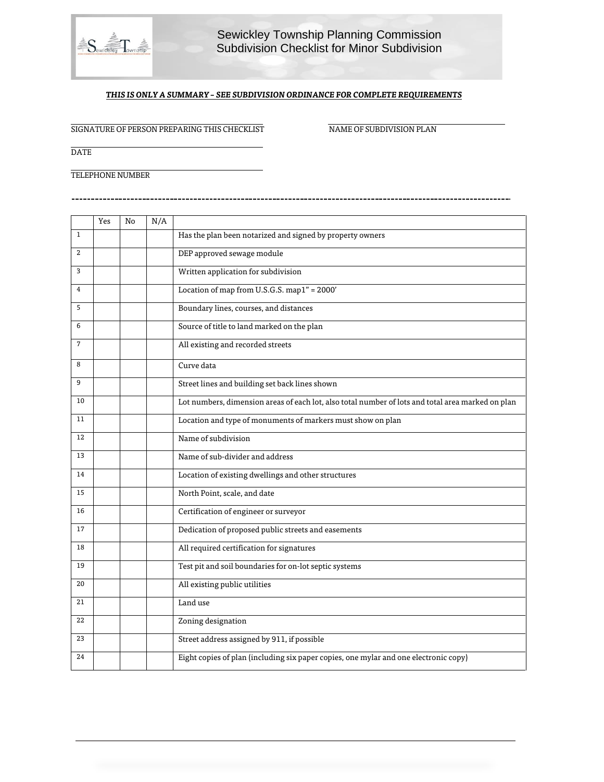

## Sewickley Township Planning Commission Subdivision Checklist for Minor Subdivision

## *THIS IS ONLY A SUMMARY – SEE SUBDIVISION ORDINANCE FOR COMPLETE REQUIREMENTS*

SIGNATURE OF PERSON PREPARING THIS CHECKLIST NAME OF SUBDIVISION PLAN

**DATE** 

TELEPHONE NUMBER

------------------

|                | Yes | No | N/A |                                                                                                   |
|----------------|-----|----|-----|---------------------------------------------------------------------------------------------------|
| $\mathbf{1}$   |     |    |     | Has the plan been notarized and signed by property owners                                         |
| $\overline{2}$ |     |    |     | DEP approved sewage module                                                                        |
| 3              |     |    |     | Written application for subdivision                                                               |
| $\overline{4}$ |     |    |     | Location of map from U.S.G.S. map1" = 2000'                                                       |
| 5              |     |    |     | Boundary lines, courses, and distances                                                            |
| 6              |     |    |     | Source of title to land marked on the plan                                                        |
| $\overline{7}$ |     |    |     | All existing and recorded streets                                                                 |
| 8              |     |    |     | Curve data                                                                                        |
| 9              |     |    |     | Street lines and building set back lines shown                                                    |
| 10             |     |    |     | Lot numbers, dimension areas of each lot, also total number of lots and total area marked on plan |
| 11             |     |    |     | Location and type of monuments of markers must show on plan                                       |
| 12             |     |    |     | Name of subdivision                                                                               |
| 13             |     |    |     | Name of sub-divider and address                                                                   |
| 14             |     |    |     | Location of existing dwellings and other structures                                               |
| 15             |     |    |     | North Point, scale, and date                                                                      |
| 16             |     |    |     | Certification of engineer or surveyor                                                             |
| 17             |     |    |     | Dedication of proposed public streets and easements                                               |
| 18             |     |    |     | All required certification for signatures                                                         |
| 19             |     |    |     | Test pit and soil boundaries for on-lot septic systems                                            |
| 20             |     |    |     | All existing public utilities                                                                     |
| 21             |     |    |     | Land use                                                                                          |
| 22             |     |    |     | Zoning designation                                                                                |
| 23             |     |    |     | Street address assigned by 911, if possible                                                       |
| 24             |     |    |     | Eight copies of plan (including six paper copies, one mylar and one electronic copy)              |